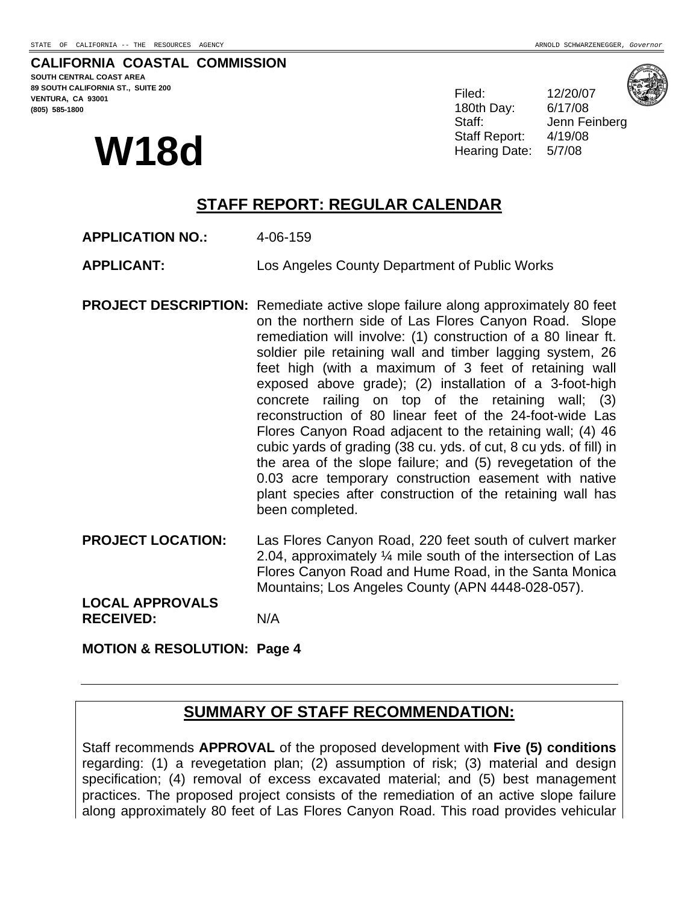#### **CALIFORNIA COASTAL COMMISSION SOUTH CENTRAL COAST AREA 89 SOUTH CALIFORNIA ST., SUITE 200 VENTURA, CA 93001 (805) 585-1800**

# **W18d**

Filed: 12/20/07 180th Day: 6/17/08 Staff: Jenn Feinberg Staff Report: 4/19/08 Hearing Date: 5/7/08



**STAFF REPORT: REGULAR CALENDAR** 

- **APPLICATION NO.:** 4-06-159
- **APPLICANT:** Los Angeles County Department of Public Works
- **PROJECT DESCRIPTION:** Remediate active slope failure along approximately 80 feet on the northern side of Las Flores Canyon Road. Slope remediation will involve: (1) construction of a 80 linear ft. soldier pile retaining wall and timber lagging system, 26 feet high (with a maximum of 3 feet of retaining wall exposed above grade); (2) installation of a 3-foot-high concrete railing on top of the retaining wall; (3) reconstruction of 80 linear feet of the 24-foot-wide Las Flores Canyon Road adjacent to the retaining wall; (4) 46 cubic yards of grading (38 cu. yds. of cut, 8 cu yds. of fill) in the area of the slope failure; and (5) revegetation of the 0.03 acre temporary construction easement with native plant species after construction of the retaining wall has been completed.
- **PROJECT LOCATION:** Las Flores Canyon Road, 220 feet south of culvert marker 2.04, approximately ¼ mile south of the intersection of Las Flores Canyon Road and Hume Road, in the Santa Monica Mountains; Los Angeles County (APN 4448-028-057). **LOCAL APPROVALS**

**RECEIVED:** N/A

**MOTION & RESOLUTION: Page 4** 

# **SUMMARY OF STAFF RECOMMENDATION:**

Staff recommends **APPROVAL** of the proposed development with **Five (5) conditions** regarding: (1) a revegetation plan; (2) assumption of risk; (3) material and design specification; (4) removal of excess excavated material; and (5) best management practices. The proposed project consists of the remediation of an active slope failure along approximately 80 feet of Las Flores Canyon Road. This road provides vehicular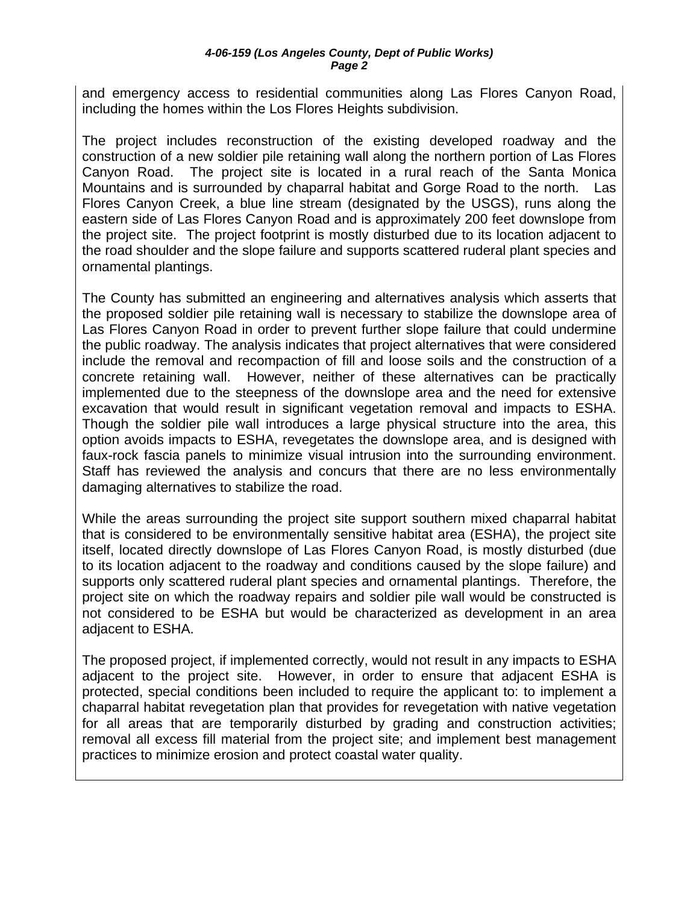and emergency access to residential communities along Las Flores Canyon Road, including the homes within the Los Flores Heights subdivision.

The project includes reconstruction of the existing developed roadway and the construction of a new soldier pile retaining wall along the northern portion of Las Flores Canyon Road. The project site is located in a rural reach of the Santa Monica Mountains and is surrounded by chaparral habitat and Gorge Road to the north. Las Flores Canyon Creek, a blue line stream (designated by the USGS), runs along the eastern side of Las Flores Canyon Road and is approximately 200 feet downslope from the project site. The project footprint is mostly disturbed due to its location adjacent to the road shoulder and the slope failure and supports scattered ruderal plant species and ornamental plantings.

The County has submitted an engineering and alternatives analysis which asserts that the proposed soldier pile retaining wall is necessary to stabilize the downslope area of Las Flores Canyon Road in order to prevent further slope failure that could undermine the public roadway. The analysis indicates that project alternatives that were considered include the removal and recompaction of fill and loose soils and the construction of a concrete retaining wall. However, neither of these alternatives can be practically implemented due to the steepness of the downslope area and the need for extensive excavation that would result in significant vegetation removal and impacts to ESHA. Though the soldier pile wall introduces a large physical structure into the area, this option avoids impacts to ESHA, revegetates the downslope area, and is designed with faux-rock fascia panels to minimize visual intrusion into the surrounding environment. Staff has reviewed the analysis and concurs that there are no less environmentally damaging alternatives to stabilize the road.

While the areas surrounding the project site support southern mixed chaparral habitat that is considered to be environmentally sensitive habitat area (ESHA), the project site itself, located directly downslope of Las Flores Canyon Road, is mostly disturbed (due to its location adjacent to the roadway and conditions caused by the slope failure) and supports only scattered ruderal plant species and ornamental plantings. Therefore, the project site on which the roadway repairs and soldier pile wall would be constructed is not considered to be ESHA but would be characterized as development in an area adjacent to ESHA.

The proposed project, if implemented correctly, would not result in any impacts to ESHA adjacent to the project site. However, in order to ensure that adjacent ESHA is protected, special conditions been included to require the applicant to: to implement a chaparral habitat revegetation plan that provides for revegetation with native vegetation for all areas that are temporarily disturbed by grading and construction activities; removal all excess fill material from the project site; and implement best management practices to minimize erosion and protect coastal water quality.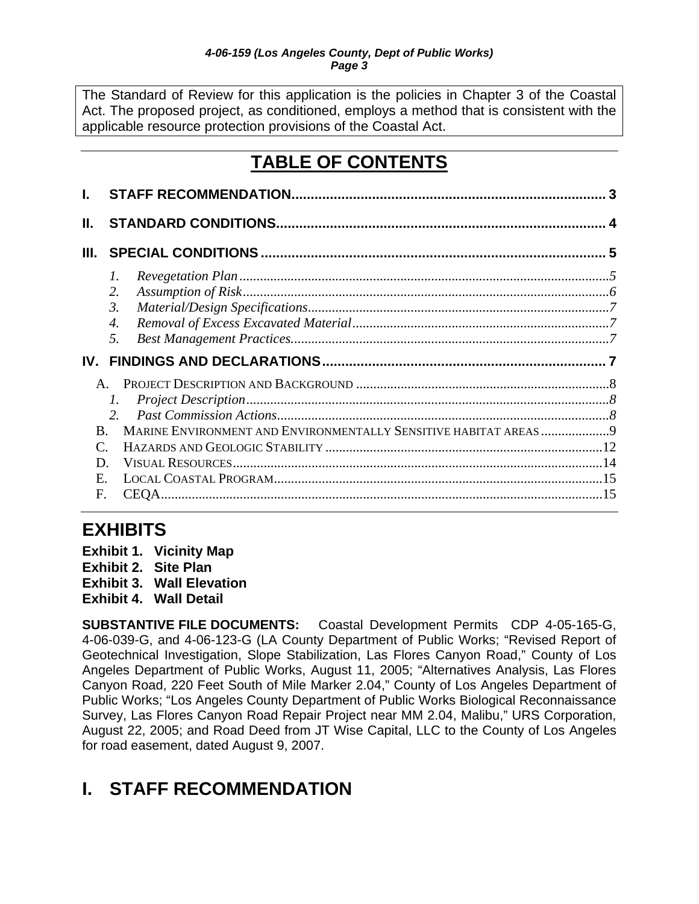<span id="page-2-0"></span>The Standard of Review for this application is the policies in Chapter 3 of the Coastal Act. The proposed project, as conditioned, employs a method that is consistent with the applicable resource protection provisions of the Coastal Act.

# **TABLE OF CONTENTS**

| Ш.                          |                    |  |
|-----------------------------|--------------------|--|
| III.                        |                    |  |
|                             | 1.                 |  |
|                             | 2.                 |  |
|                             | 3.                 |  |
|                             | $\boldsymbol{4}$ . |  |
|                             | 5.                 |  |
|                             |                    |  |
|                             |                    |  |
|                             |                    |  |
|                             | 1.                 |  |
|                             | $\mathcal{L}$      |  |
| B.                          |                    |  |
| $\mathcal{C}_{\mathcal{C}}$ |                    |  |
| D                           |                    |  |
| E.                          |                    |  |

# **EXHIBITS**

- **Exhibit 1. Vicinity Map**
- **Exhibit 2. Site Plan**
- **Exhibit 3. Wall Elevation**
- **Exhibit 4. Wall Detail**

**SUBSTANTIVE FILE DOCUMENTS:** Coastal Development Permits CDP 4-05-165-G, 4-06-039-G, and 4-06-123-G (LA County Department of Public Works; "Revised Report of Geotechnical Investigation, Slope Stabilization, Las Flores Canyon Road," County of Los Angeles Department of Public Works, August 11, 2005; "Alternatives Analysis, Las Flores Canyon Road, 220 Feet South of Mile Marker 2.04," County of Los Angeles Department of Public Works; "Los Angeles County Department of Public Works Biological Reconnaissance Survey, Las Flores Canyon Road Repair Project near MM 2.04, Malibu," URS Corporation, August 22, 2005; and Road Deed from JT Wise Capital, LLC to the County of Los Angeles for road easement, dated August 9, 2007.

# **I. STAFF RECOMMENDATION**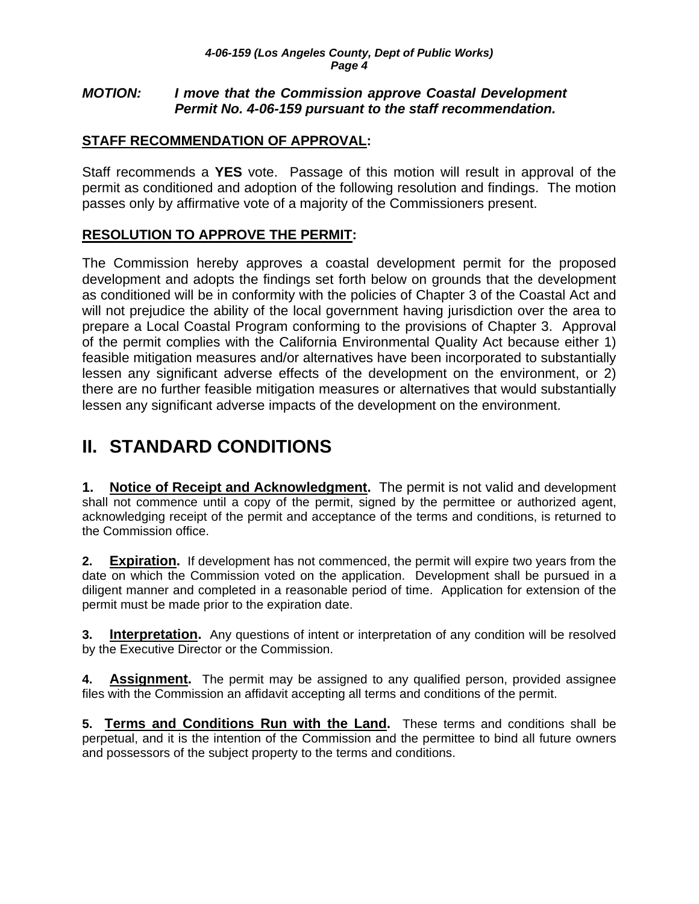### <span id="page-3-0"></span>*MOTION: I move that the Commission approve Coastal Development Permit No. 4-06-159 pursuant to the staff recommendation.*

## **STAFF RECOMMENDATION OF APPROVAL:**

Staff recommends a **YES** vote. Passage of this motion will result in approval of the permit as conditioned and adoption of the following resolution and findings. The motion passes only by affirmative vote of a majority of the Commissioners present.

# **RESOLUTION TO APPROVE THE PERMIT:**

The Commission hereby approves a coastal development permit for the proposed development and adopts the findings set forth below on grounds that the development as conditioned will be in conformity with the policies of Chapter 3 of the Coastal Act and will not prejudice the ability of the local government having jurisdiction over the area to prepare a Local Coastal Program conforming to the provisions of Chapter 3. Approval of the permit complies with the California Environmental Quality Act because either 1) feasible mitigation measures and/or alternatives have been incorporated to substantially lessen any significant adverse effects of the development on the environment, or 2) there are no further feasible mitigation measures or alternatives that would substantially lessen any significant adverse impacts of the development on the environment.

# **II. STANDARD CONDITIONS**

**1. Notice of Receipt and Acknowledgment.** The permit is not valid and development shall not commence until a copy of the permit, signed by the permittee or authorized agent, acknowledging receipt of the permit and acceptance of the terms and conditions, is returned to the Commission office.

**2. Expiration.** If development has not commenced, the permit will expire two years from the date on which the Commission voted on the application. Development shall be pursued in a diligent manner and completed in a reasonable period of time. Application for extension of the permit must be made prior to the expiration date.

**3.** Interpretation. Any questions of intent or interpretation of any condition will be resolved by the Executive Director or the Commission.

**4. Assignment.** The permit may be assigned to any qualified person, provided assignee files with the Commission an affidavit accepting all terms and conditions of the permit.

**5. Terms and Conditions Run with the Land.** These terms and conditions shall be perpetual, and it is the intention of the Commission and the permittee to bind all future owners and possessors of the subject property to the terms and conditions.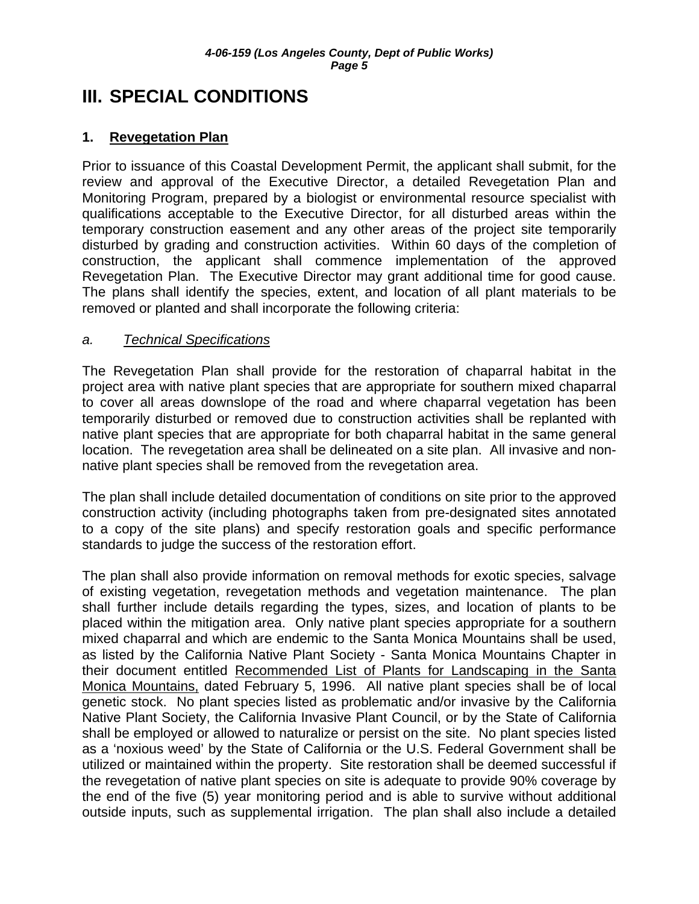# <span id="page-4-0"></span>**III. SPECIAL CONDITIONS**

## **1. Revegetation Plan**

Prior to issuance of this Coastal Development Permit, the applicant shall submit, for the review and approval of the Executive Director, a detailed Revegetation Plan and Monitoring Program, prepared by a biologist or environmental resource specialist with qualifications acceptable to the Executive Director, for all disturbed areas within the temporary construction easement and any other areas of the project site temporarily disturbed by grading and construction activities. Within 60 days of the completion of construction, the applicant shall commence implementation of the approved Revegetation Plan. The Executive Director may grant additional time for good cause. The plans shall identify the species, extent, and location of all plant materials to be removed or planted and shall incorporate the following criteria:

### *a. Technical Specifications*

The Revegetation Plan shall provide for the restoration of chaparral habitat in the project area with native plant species that are appropriate for southern mixed chaparral to cover all areas downslope of the road and where chaparral vegetation has been temporarily disturbed or removed due to construction activities shall be replanted with native plant species that are appropriate for both chaparral habitat in the same general location. The revegetation area shall be delineated on a site plan. All invasive and nonnative plant species shall be removed from the revegetation area.

The plan shall include detailed documentation of conditions on site prior to the approved construction activity (including photographs taken from pre-designated sites annotated to a copy of the site plans) and specify restoration goals and specific performance standards to judge the success of the restoration effort.

The plan shall also provide information on removal methods for exotic species, salvage of existing vegetation, revegetation methods and vegetation maintenance. The plan shall further include details regarding the types, sizes, and location of plants to be placed within the mitigation area. Only native plant species appropriate for a southern mixed chaparral and which are endemic to the Santa Monica Mountains shall be used, as listed by the California Native Plant Society - Santa Monica Mountains Chapter in their document entitled Recommended List of Plants for Landscaping in the Santa Monica Mountains, dated February 5, 1996. All native plant species shall be of local genetic stock. No plant species listed as problematic and/or invasive by the California Native Plant Society, the California Invasive Plant Council, or by the State of California shall be employed or allowed to naturalize or persist on the site. No plant species listed as a 'noxious weed' by the State of California or the U.S. Federal Government shall be utilized or maintained within the property. Site restoration shall be deemed successful if the revegetation of native plant species on site is adequate to provide 90% coverage by the end of the five (5) year monitoring period and is able to survive without additional outside inputs, such as supplemental irrigation. The plan shall also include a detailed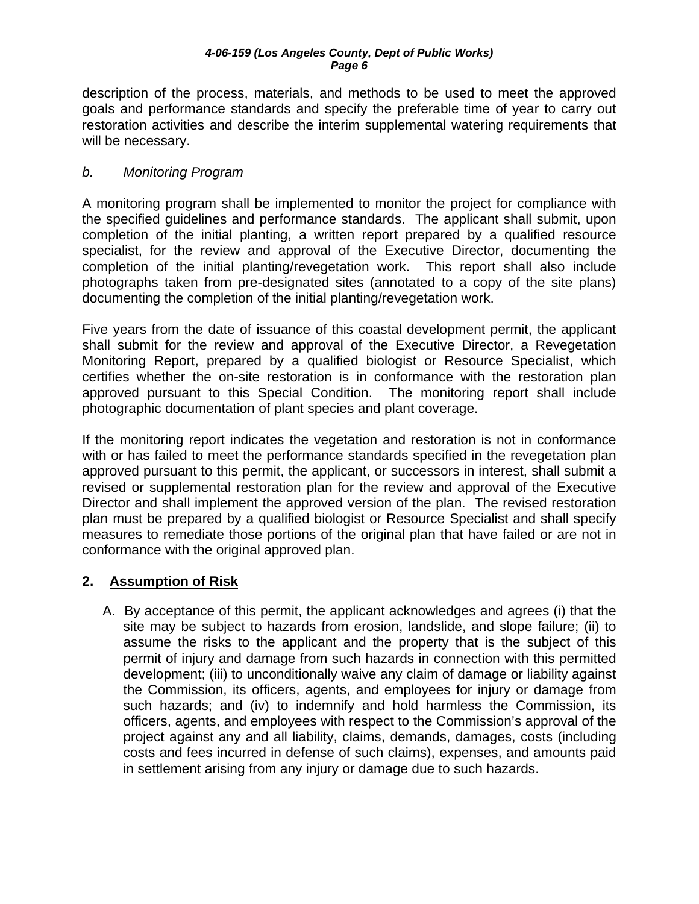<span id="page-5-0"></span>description of the process, materials, and methods to be used to meet the approved goals and performance standards and specify the preferable time of year to carry out restoration activities and describe the interim supplemental watering requirements that will be necessary.

## *b. Monitoring Program*

A monitoring program shall be implemented to monitor the project for compliance with the specified guidelines and performance standards. The applicant shall submit, upon completion of the initial planting, a written report prepared by a qualified resource specialist, for the review and approval of the Executive Director, documenting the completion of the initial planting/revegetation work. This report shall also include photographs taken from pre-designated sites (annotated to a copy of the site plans) documenting the completion of the initial planting/revegetation work.

Five years from the date of issuance of this coastal development permit, the applicant shall submit for the review and approval of the Executive Director, a Revegetation Monitoring Report, prepared by a qualified biologist or Resource Specialist, which certifies whether the on-site restoration is in conformance with the restoration plan approved pursuant to this Special Condition. The monitoring report shall include photographic documentation of plant species and plant coverage.

If the monitoring report indicates the vegetation and restoration is not in conformance with or has failed to meet the performance standards specified in the revegetation plan approved pursuant to this permit, the applicant, or successors in interest, shall submit a revised or supplemental restoration plan for the review and approval of the Executive Director and shall implement the approved version of the plan. The revised restoration plan must be prepared by a qualified biologist or Resource Specialist and shall specify measures to remediate those portions of the original plan that have failed or are not in conformance with the original approved plan.

## **2. Assumption of Risk**

A. By acceptance of this permit, the applicant acknowledges and agrees (i) that the site may be subject to hazards from erosion, landslide, and slope failure; (ii) to assume the risks to the applicant and the property that is the subject of this permit of injury and damage from such hazards in connection with this permitted development; (iii) to unconditionally waive any claim of damage or liability against the Commission, its officers, agents, and employees for injury or damage from such hazards; and (iv) to indemnify and hold harmless the Commission, its officers, agents, and employees with respect to the Commission's approval of the project against any and all liability, claims, demands, damages, costs (including costs and fees incurred in defense of such claims), expenses, and amounts paid in settlement arising from any injury or damage due to such hazards.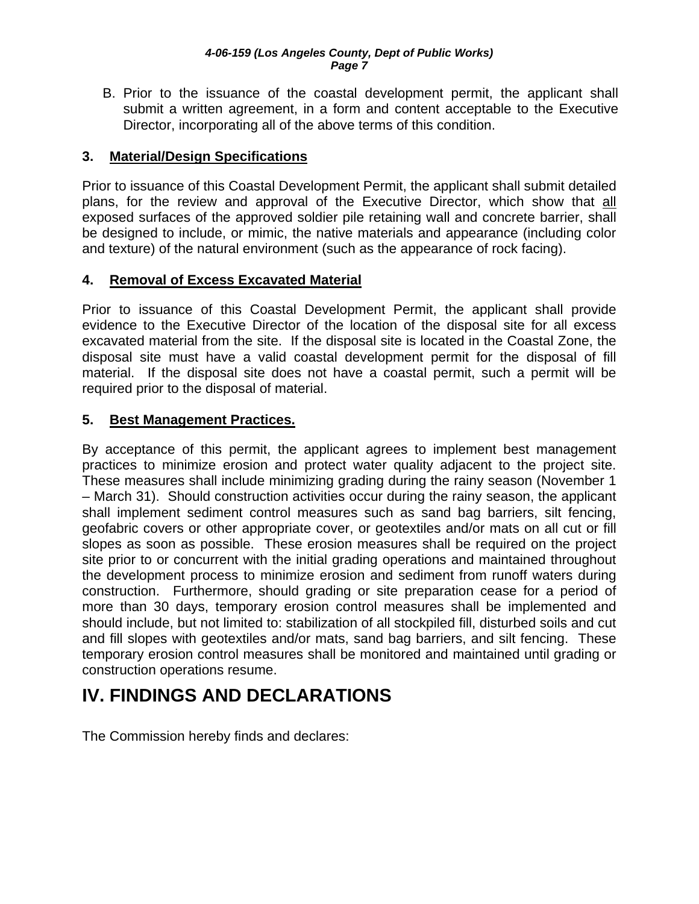<span id="page-6-0"></span>B. Prior to the issuance of the coastal development permit, the applicant shall submit a written agreement, in a form and content acceptable to the Executive Director, incorporating all of the above terms of this condition.

## **3. Material/Design Specifications**

Prior to issuance of this Coastal Development Permit, the applicant shall submit detailed plans, for the review and approval of the Executive Director, which show that all exposed surfaces of the approved soldier pile retaining wall and concrete barrier, shall be designed to include, or mimic, the native materials and appearance (including color and texture) of the natural environment (such as the appearance of rock facing).

## **4. Removal of Excess Excavated Material**

Prior to issuance of this Coastal Development Permit, the applicant shall provide evidence to the Executive Director of the location of the disposal site for all excess excavated material from the site. If the disposal site is located in the Coastal Zone, the disposal site must have a valid coastal development permit for the disposal of fill material. If the disposal site does not have a coastal permit, such a permit will be required prior to the disposal of material.

## **5. Best Management Practices.**

By acceptance of this permit, the applicant agrees to implement best management practices to minimize erosion and protect water quality adjacent to the project site. These measures shall include minimizing grading during the rainy season (November 1 – March 31). Should construction activities occur during the rainy season, the applicant shall implement sediment control measures such as sand bag barriers, silt fencing, geofabric covers or other appropriate cover, or geotextiles and/or mats on all cut or fill slopes as soon as possible. These erosion measures shall be required on the project site prior to or concurrent with the initial grading operations and maintained throughout the development process to minimize erosion and sediment from runoff waters during construction. Furthermore, should grading or site preparation cease for a period of more than 30 days, temporary erosion control measures shall be implemented and should include, but not limited to: stabilization of all stockpiled fill, disturbed soils and cut and fill slopes with geotextiles and/or mats, sand bag barriers, and silt fencing. These temporary erosion control measures shall be monitored and maintained until grading or construction operations resume.

# **IV. FINDINGS AND DECLARATIONS**

The Commission hereby finds and declares: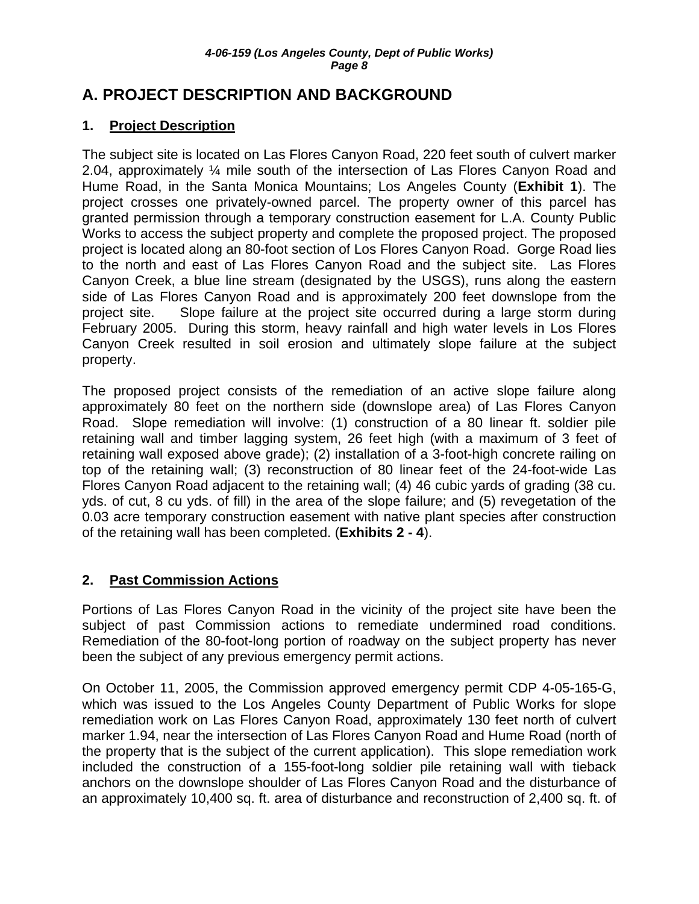# <span id="page-7-0"></span>**A. PROJECT DESCRIPTION AND BACKGROUND**

# **1. Project Description**

The subject site is located on Las Flores Canyon Road, 220 feet south of culvert marker 2.04, approximately ¼ mile south of the intersection of Las Flores Canyon Road and Hume Road, in the Santa Monica Mountains; Los Angeles County (**Exhibit 1**). The project crosses one privately-owned parcel. The property owner of this parcel has granted permission through a temporary construction easement for L.A. County Public Works to access the subject property and complete the proposed project. The proposed project is located along an 80-foot section of Los Flores Canyon Road. Gorge Road lies to the north and east of Las Flores Canyon Road and the subject site. Las Flores Canyon Creek, a blue line stream (designated by the USGS), runs along the eastern side of Las Flores Canyon Road and is approximately 200 feet downslope from the project site. Slope failure at the project site occurred during a large storm during February 2005. During this storm, heavy rainfall and high water levels in Los Flores Canyon Creek resulted in soil erosion and ultimately slope failure at the subject property.

The proposed project consists of the remediation of an active slope failure along approximately 80 feet on the northern side (downslope area) of Las Flores Canyon Road. Slope remediation will involve: (1) construction of a 80 linear ft. soldier pile retaining wall and timber lagging system, 26 feet high (with a maximum of 3 feet of retaining wall exposed above grade); (2) installation of a 3-foot-high concrete railing on top of the retaining wall; (3) reconstruction of 80 linear feet of the 24-foot-wide Las Flores Canyon Road adjacent to the retaining wall; (4) 46 cubic yards of grading (38 cu. yds. of cut, 8 cu yds. of fill) in the area of the slope failure; and (5) revegetation of the 0.03 acre temporary construction easement with native plant species after construction of the retaining wall has been completed. (**Exhibits 2 - 4**).

# **2. Past Commission Actions**

Portions of Las Flores Canyon Road in the vicinity of the project site have been the subject of past Commission actions to remediate undermined road conditions. Remediation of the 80-foot-long portion of roadway on the subject property has never been the subject of any previous emergency permit actions.

On October 11, 2005, the Commission approved emergency permit CDP 4-05-165-G, which was issued to the Los Angeles County Department of Public Works for slope remediation work on Las Flores Canyon Road, approximately 130 feet north of culvert marker 1.94, near the intersection of Las Flores Canyon Road and Hume Road (north of the property that is the subject of the current application). This slope remediation work included the construction of a 155-foot-long soldier pile retaining wall with tieback anchors on the downslope shoulder of Las Flores Canyon Road and the disturbance of an approximately 10,400 sq. ft. area of disturbance and reconstruction of 2,400 sq. ft. of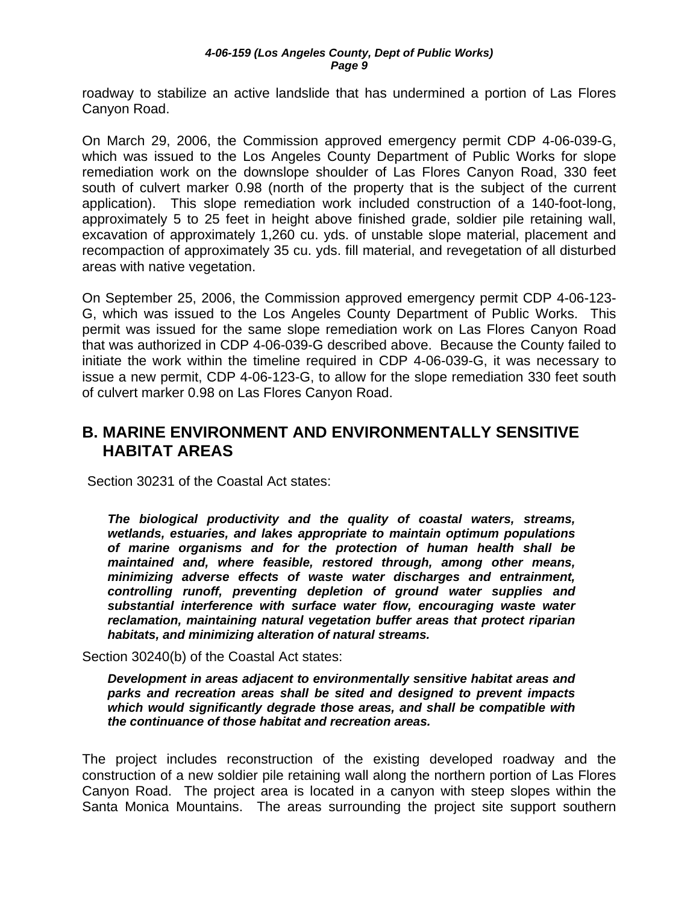<span id="page-8-0"></span>roadway to stabilize an active landslide that has undermined a portion of Las Flores Canyon Road.

On March 29, 2006, the Commission approved emergency permit CDP 4-06-039-G, which was issued to the Los Angeles County Department of Public Works for slope remediation work on the downslope shoulder of Las Flores Canyon Road, 330 feet south of culvert marker 0.98 (north of the property that is the subject of the current application). This slope remediation work included construction of a 140-foot-long, approximately 5 to 25 feet in height above finished grade, soldier pile retaining wall, excavation of approximately 1,260 cu. yds. of unstable slope material, placement and recompaction of approximately 35 cu. yds. fill material, and revegetation of all disturbed areas with native vegetation.

On September 25, 2006, the Commission approved emergency permit CDP 4-06-123- G, which was issued to the Los Angeles County Department of Public Works. This permit was issued for the same slope remediation work on Las Flores Canyon Road that was authorized in CDP 4-06-039-G described above. Because the County failed to initiate the work within the timeline required in CDP 4-06-039-G, it was necessary to issue a new permit, CDP 4-06-123-G, to allow for the slope remediation 330 feet south of culvert marker 0.98 on Las Flores Canyon Road.

# **B. MARINE ENVIRONMENT AND ENVIRONMENTALLY SENSITIVE HABITAT AREAS**

Section 30231 of the Coastal Act states:

*The biological productivity and the quality of coastal waters, streams, wetlands, estuaries, and lakes appropriate to maintain optimum populations of marine organisms and for the protection of human health shall be maintained and, where feasible, restored through, among other means, minimizing adverse effects of waste water discharges and entrainment, controlling runoff, preventing depletion of ground water supplies and substantial interference with surface water flow, encouraging waste water reclamation, maintaining natural vegetation buffer areas that protect riparian habitats, and minimizing alteration of natural streams.* 

Section 30240(b) of the Coastal Act states:

*Development in areas adjacent to environmentally sensitive habitat areas and parks and recreation areas shall be sited and designed to prevent impacts which would significantly degrade those areas, and shall be compatible with the continuance of those habitat and recreation areas.* 

The project includes reconstruction of the existing developed roadway and the construction of a new soldier pile retaining wall along the northern portion of Las Flores Canyon Road. The project area is located in a canyon with steep slopes within the Santa Monica Mountains. The areas surrounding the project site support southern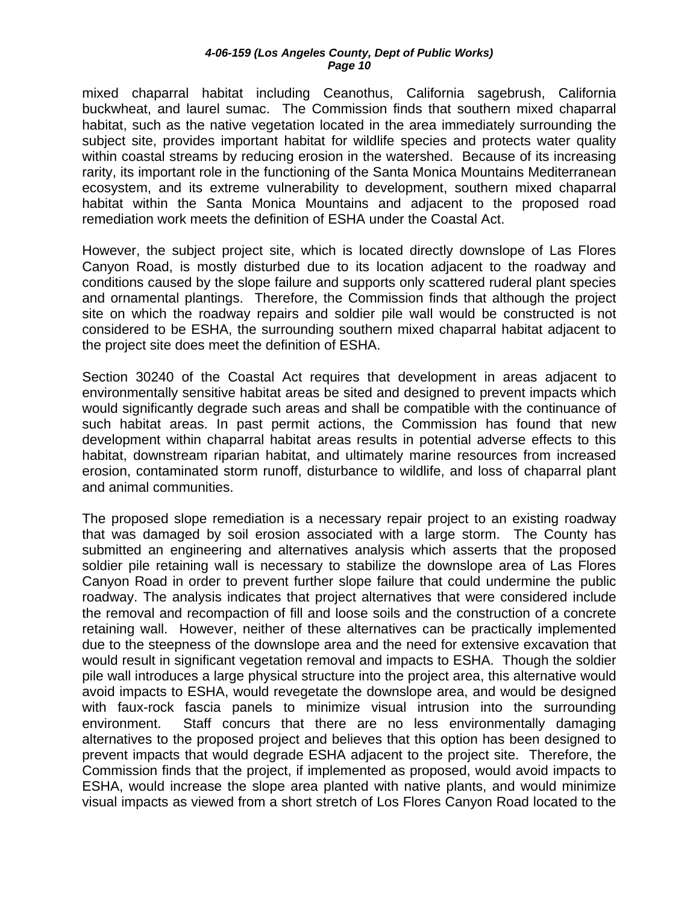mixed chaparral habitat including Ceanothus, California sagebrush, California buckwheat, and laurel sumac. The Commission finds that southern mixed chaparral habitat, such as the native vegetation located in the area immediately surrounding the subject site, provides important habitat for wildlife species and protects water quality within coastal streams by reducing erosion in the watershed. Because of its increasing rarity, its important role in the functioning of the Santa Monica Mountains Mediterranean ecosystem, and its extreme vulnerability to development, southern mixed chaparral habitat within the Santa Monica Mountains and adjacent to the proposed road remediation work meets the definition of ESHA under the Coastal Act.

However, the subject project site, which is located directly downslope of Las Flores Canyon Road, is mostly disturbed due to its location adjacent to the roadway and conditions caused by the slope failure and supports only scattered ruderal plant species and ornamental plantings. Therefore, the Commission finds that although the project site on which the roadway repairs and soldier pile wall would be constructed is not considered to be ESHA, the surrounding southern mixed chaparral habitat adjacent to the project site does meet the definition of ESHA.

Section 30240 of the Coastal Act requires that development in areas adjacent to environmentally sensitive habitat areas be sited and designed to prevent impacts which would significantly degrade such areas and shall be compatible with the continuance of such habitat areas. In past permit actions, the Commission has found that new development within chaparral habitat areas results in potential adverse effects to this habitat, downstream riparian habitat, and ultimately marine resources from increased erosion, contaminated storm runoff, disturbance to wildlife, and loss of chaparral plant and animal communities.

The proposed slope remediation is a necessary repair project to an existing roadway that was damaged by soil erosion associated with a large storm. The County has submitted an engineering and alternatives analysis which asserts that the proposed soldier pile retaining wall is necessary to stabilize the downslope area of Las Flores Canyon Road in order to prevent further slope failure that could undermine the public roadway. The analysis indicates that project alternatives that were considered include the removal and recompaction of fill and loose soils and the construction of a concrete retaining wall. However, neither of these alternatives can be practically implemented due to the steepness of the downslope area and the need for extensive excavation that would result in significant vegetation removal and impacts to ESHA. Though the soldier pile wall introduces a large physical structure into the project area, this alternative would avoid impacts to ESHA, would revegetate the downslope area, and would be designed with faux-rock fascia panels to minimize visual intrusion into the surrounding environment. Staff concurs that there are no less environmentally damaging alternatives to the proposed project and believes that this option has been designed to prevent impacts that would degrade ESHA adjacent to the project site. Therefore, the Commission finds that the project, if implemented as proposed, would avoid impacts to ESHA, would increase the slope area planted with native plants, and would minimize visual impacts as viewed from a short stretch of Los Flores Canyon Road located to the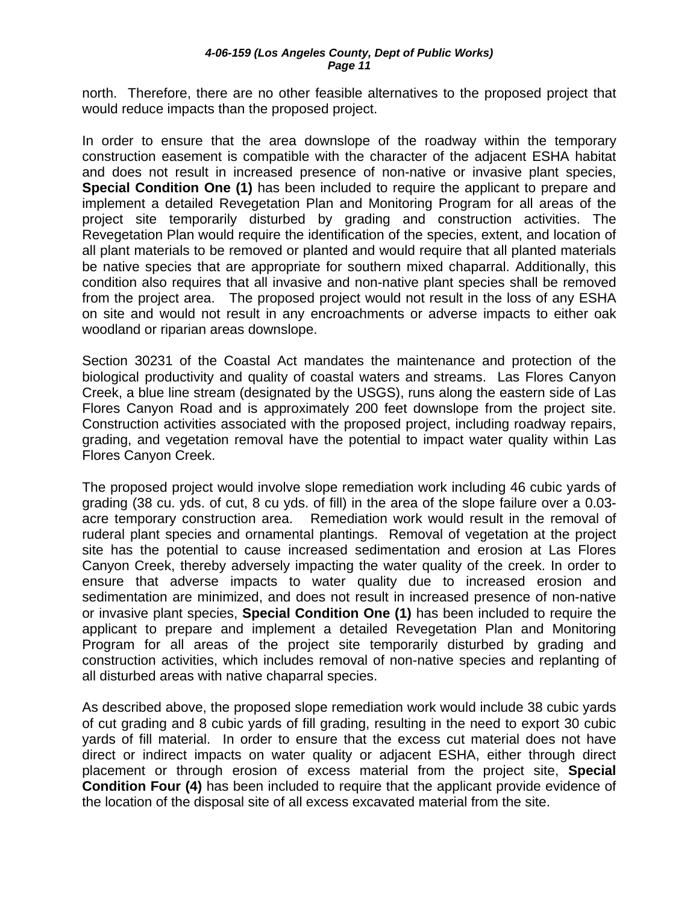north. Therefore, there are no other feasible alternatives to the proposed project that would reduce impacts than the proposed project.

In order to ensure that the area downslope of the roadway within the temporary construction easement is compatible with the character of the adjacent ESHA habitat and does not result in increased presence of non-native or invasive plant species, **Special Condition One (1)** has been included to require the applicant to prepare and implement a detailed Revegetation Plan and Monitoring Program for all areas of the project site temporarily disturbed by grading and construction activities. The Revegetation Plan would require the identification of the species, extent, and location of all plant materials to be removed or planted and would require that all planted materials be native species that are appropriate for southern mixed chaparral. Additionally, this condition also requires that all invasive and non-native plant species shall be removed from the project area. The proposed project would not result in the loss of any ESHA on site and would not result in any encroachments or adverse impacts to either oak woodland or riparian areas downslope.

Section 30231 of the Coastal Act mandates the maintenance and protection of the biological productivity and quality of coastal waters and streams. Las Flores Canyon Creek, a blue line stream (designated by the USGS), runs along the eastern side of Las Flores Canyon Road and is approximately 200 feet downslope from the project site. Construction activities associated with the proposed project, including roadway repairs, grading, and vegetation removal have the potential to impact water quality within Las Flores Canyon Creek.

The proposed project would involve slope remediation work including 46 cubic yards of grading (38 cu. yds. of cut, 8 cu yds. of fill) in the area of the slope failure over a 0.03 acre temporary construction area. Remediation work would result in the removal of ruderal plant species and ornamental plantings. Removal of vegetation at the project site has the potential to cause increased sedimentation and erosion at Las Flores Canyon Creek, thereby adversely impacting the water quality of the creek. In order to ensure that adverse impacts to water quality due to increased erosion and sedimentation are minimized, and does not result in increased presence of non-native or invasive plant species, **Special Condition One (1)** has been included to require the applicant to prepare and implement a detailed Revegetation Plan and Monitoring Program for all areas of the project site temporarily disturbed by grading and construction activities, which includes removal of non-native species and replanting of all disturbed areas with native chaparral species.

As described above, the proposed slope remediation work would include 38 cubic yards of cut grading and 8 cubic yards of fill grading, resulting in the need to export 30 cubic yards of fill material. In order to ensure that the excess cut material does not have direct or indirect impacts on water quality or adjacent ESHA, either through direct placement or through erosion of excess material from the project site, **Special Condition Four (4)** has been included to require that the applicant provide evidence of the location of the disposal site of all excess excavated material from the site.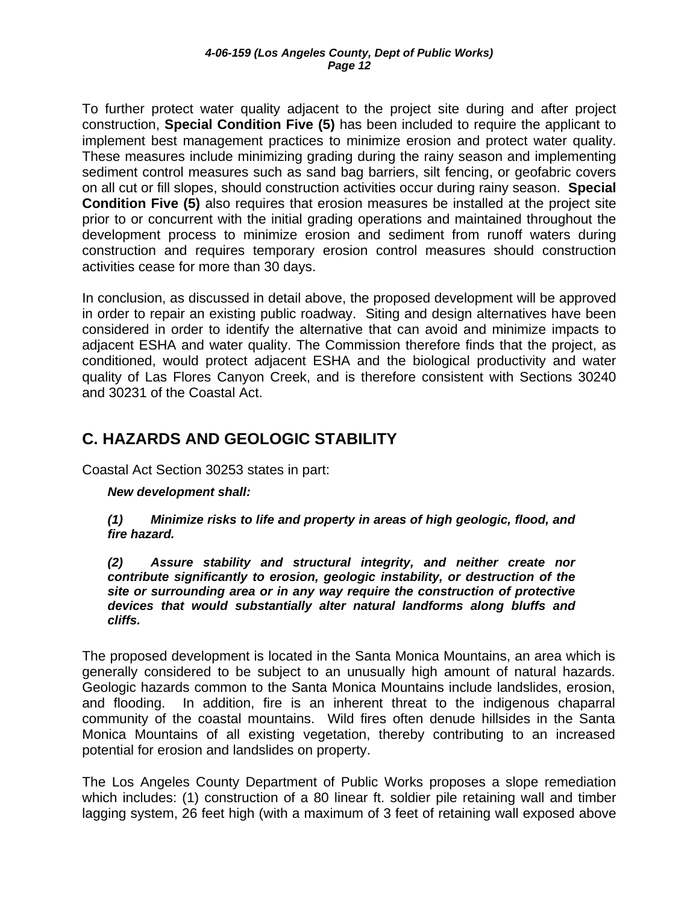<span id="page-11-0"></span>To further protect water quality adjacent to the project site during and after project construction, **Special Condition Five (5)** has been included to require the applicant to implement best management practices to minimize erosion and protect water quality. These measures include minimizing grading during the rainy season and implementing sediment control measures such as sand bag barriers, silt fencing, or geofabric covers on all cut or fill slopes, should construction activities occur during rainy season. **Special Condition Five (5)** also requires that erosion measures be installed at the project site prior to or concurrent with the initial grading operations and maintained throughout the development process to minimize erosion and sediment from runoff waters during construction and requires temporary erosion control measures should construction activities cease for more than 30 days.

In conclusion, as discussed in detail above, the proposed development will be approved in order to repair an existing public roadway. Siting and design alternatives have been considered in order to identify the alternative that can avoid and minimize impacts to adjacent ESHA and water quality. The Commission therefore finds that the project, as conditioned, would protect adjacent ESHA and the biological productivity and water quality of Las Flores Canyon Creek, and is therefore consistent with Sections 30240 and 30231 of the Coastal Act.

# **C. HAZARDS AND GEOLOGIC STABILITY**

Coastal Act Section 30253 states in part:

#### *New development shall:*

#### *(1) Minimize risks to life and property in areas of high geologic, flood, and fire hazard.*

*(2) Assure stability and structural integrity, and neither create nor contribute significantly to erosion, geologic instability, or destruction of the site or surrounding area or in any way require the construction of protective devices that would substantially alter natural landforms along bluffs and cliffs.* 

The proposed development is located in the Santa Monica Mountains, an area which is generally considered to be subject to an unusually high amount of natural hazards. Geologic hazards common to the Santa Monica Mountains include landslides, erosion, and flooding. In addition, fire is an inherent threat to the indigenous chaparral community of the coastal mountains. Wild fires often denude hillsides in the Santa Monica Mountains of all existing vegetation, thereby contributing to an increased potential for erosion and landslides on property.

The Los Angeles County Department of Public Works proposes a slope remediation which includes: (1) construction of a 80 linear ft. soldier pile retaining wall and timber lagging system, 26 feet high (with a maximum of 3 feet of retaining wall exposed above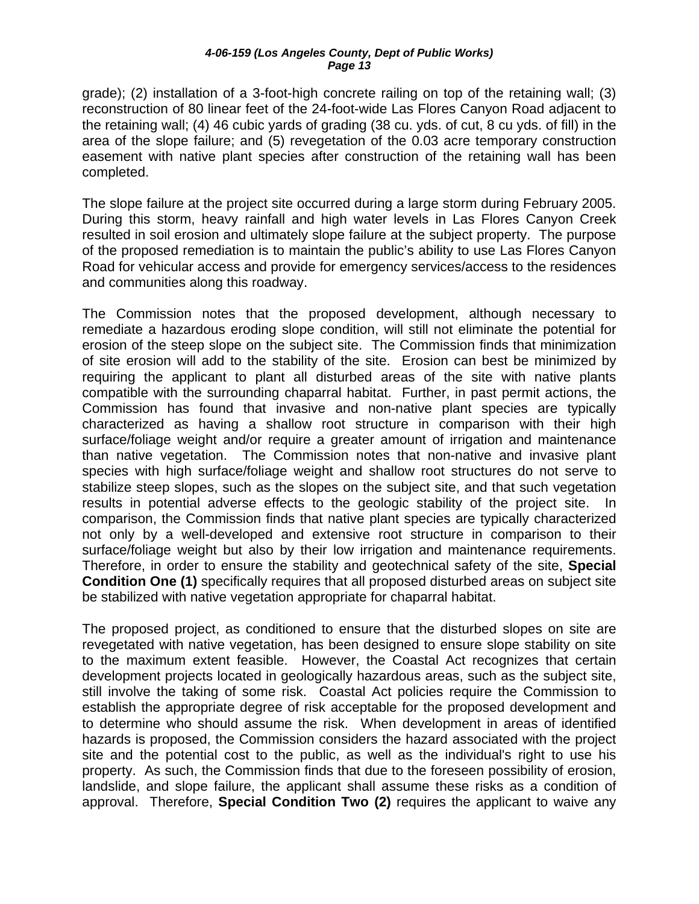grade); (2) installation of a 3-foot-high concrete railing on top of the retaining wall; (3) reconstruction of 80 linear feet of the 24-foot-wide Las Flores Canyon Road adjacent to the retaining wall; (4) 46 cubic yards of grading (38 cu. yds. of cut, 8 cu yds. of fill) in the area of the slope failure; and (5) revegetation of the 0.03 acre temporary construction easement with native plant species after construction of the retaining wall has been completed.

The slope failure at the project site occurred during a large storm during February 2005. During this storm, heavy rainfall and high water levels in Las Flores Canyon Creek resulted in soil erosion and ultimately slope failure at the subject property. The purpose of the proposed remediation is to maintain the public's ability to use Las Flores Canyon Road for vehicular access and provide for emergency services/access to the residences and communities along this roadway.

The Commission notes that the proposed development, although necessary to remediate a hazardous eroding slope condition, will still not eliminate the potential for erosion of the steep slope on the subject site. The Commission finds that minimization of site erosion will add to the stability of the site. Erosion can best be minimized by requiring the applicant to plant all disturbed areas of the site with native plants compatible with the surrounding chaparral habitat. Further, in past permit actions, the Commission has found that invasive and non-native plant species are typically characterized as having a shallow root structure in comparison with their high surface/foliage weight and/or require a greater amount of irrigation and maintenance than native vegetation. The Commission notes that non-native and invasive plant species with high surface/foliage weight and shallow root structures do not serve to stabilize steep slopes, such as the slopes on the subject site, and that such vegetation results in potential adverse effects to the geologic stability of the project site. In comparison, the Commission finds that native plant species are typically characterized not only by a well-developed and extensive root structure in comparison to their surface/foliage weight but also by their low irrigation and maintenance requirements. Therefore, in order to ensure the stability and geotechnical safety of the site, **Special Condition One (1)** specifically requires that all proposed disturbed areas on subject site be stabilized with native vegetation appropriate for chaparral habitat.

The proposed project, as conditioned to ensure that the disturbed slopes on site are revegetated with native vegetation, has been designed to ensure slope stability on site to the maximum extent feasible. However, the Coastal Act recognizes that certain development projects located in geologically hazardous areas, such as the subject site, still involve the taking of some risk. Coastal Act policies require the Commission to establish the appropriate degree of risk acceptable for the proposed development and to determine who should assume the risk. When development in areas of identified hazards is proposed, the Commission considers the hazard associated with the project site and the potential cost to the public, as well as the individual's right to use his property. As such, the Commission finds that due to the foreseen possibility of erosion, landslide, and slope failure, the applicant shall assume these risks as a condition of approval. Therefore, **Special Condition Two (2)** requires the applicant to waive any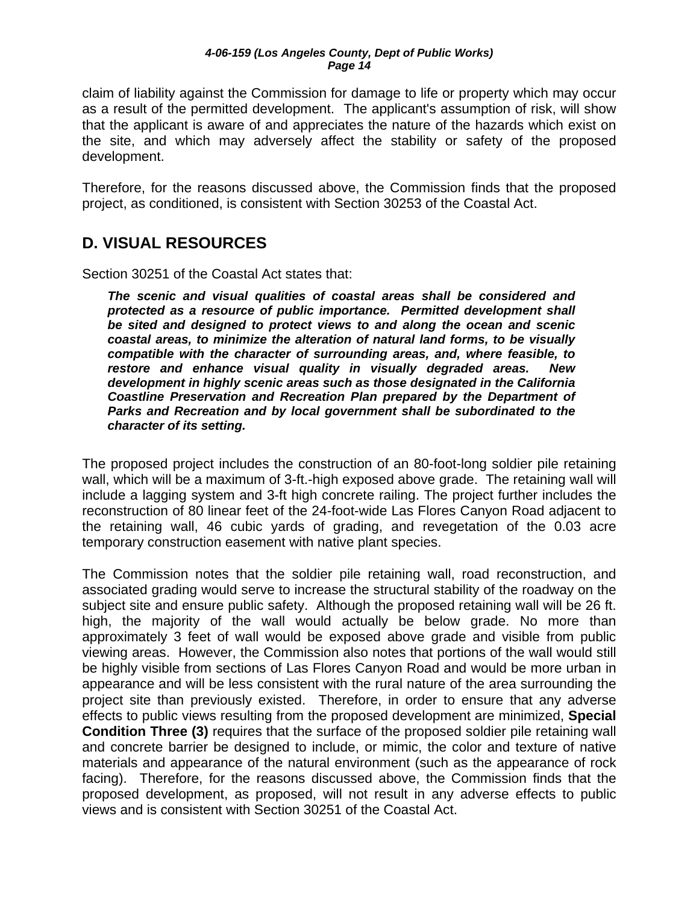<span id="page-13-0"></span>claim of liability against the Commission for damage to life or property which may occur as a result of the permitted development. The applicant's assumption of risk, will show that the applicant is aware of and appreciates the nature of the hazards which exist on the site, and which may adversely affect the stability or safety of the proposed development.

Therefore, for the reasons discussed above, the Commission finds that the proposed project, as conditioned, is consistent with Section 30253 of the Coastal Act.

# **D. VISUAL RESOURCES**

Section 30251 of the Coastal Act states that:

*The scenic and visual qualities of coastal areas shall be considered and protected as a resource of public importance. Permitted development shall be sited and designed to protect views to and along the ocean and scenic coastal areas, to minimize the alteration of natural land forms, to be visually compatible with the character of surrounding areas, and, where feasible, to restore and enhance visual quality in visually degraded areas. New development in highly scenic areas such as those designated in the California Coastline Preservation and Recreation Plan prepared by the Department of Parks and Recreation and by local government shall be subordinated to the character of its setting.* 

The proposed project includes the construction of an 80-foot-long soldier pile retaining wall, which will be a maximum of 3-ft.-high exposed above grade. The retaining wall will include a lagging system and 3-ft high concrete railing. The project further includes the reconstruction of 80 linear feet of the 24-foot-wide Las Flores Canyon Road adjacent to the retaining wall, 46 cubic yards of grading, and revegetation of the 0.03 acre temporary construction easement with native plant species.

The Commission notes that the soldier pile retaining wall, road reconstruction, and associated grading would serve to increase the structural stability of the roadway on the subject site and ensure public safety. Although the proposed retaining wall will be 26 ft. high, the majority of the wall would actually be below grade. No more than approximately 3 feet of wall would be exposed above grade and visible from public viewing areas. However, the Commission also notes that portions of the wall would still be highly visible from sections of Las Flores Canyon Road and would be more urban in appearance and will be less consistent with the rural nature of the area surrounding the project site than previously existed. Therefore, in order to ensure that any adverse effects to public views resulting from the proposed development are minimized, **Special Condition Three (3)** requires that the surface of the proposed soldier pile retaining wall and concrete barrier be designed to include, or mimic, the color and texture of native materials and appearance of the natural environment (such as the appearance of rock facing). Therefore, for the reasons discussed above, the Commission finds that the proposed development, as proposed, will not result in any adverse effects to public views and is consistent with Section 30251 of the Coastal Act.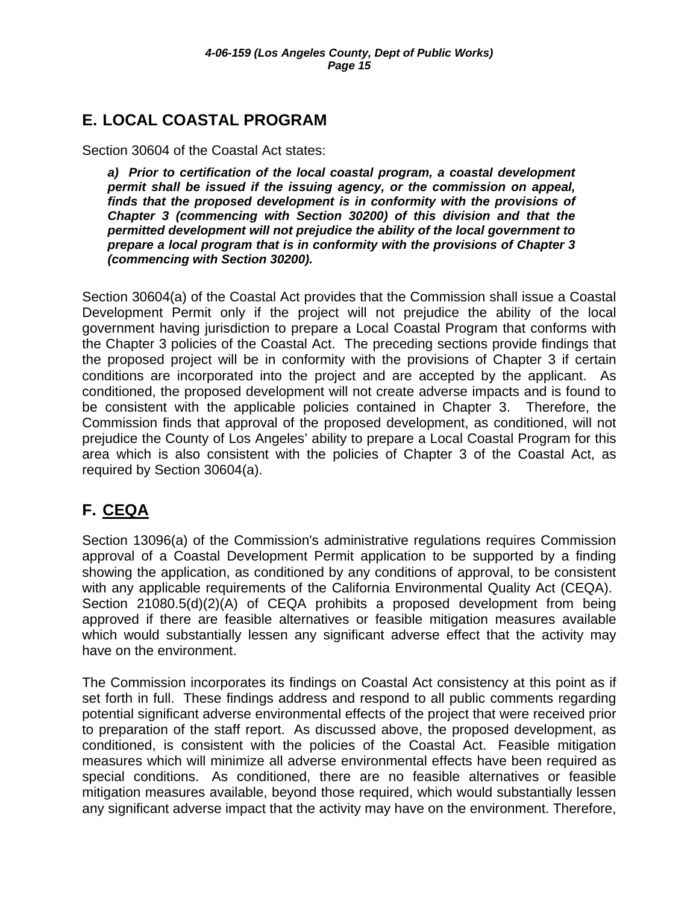# <span id="page-14-0"></span>**E. LOCAL COASTAL PROGRAM**

Section 30604 of the Coastal Act states:

*a) Prior to certification of the local coastal program, a coastal development permit shall be issued if the issuing agency, or the commission on appeal, finds that the proposed development is in conformity with the provisions of Chapter 3 (commencing with Section 30200) of this division and that the permitted development will not prejudice the ability of the local government to prepare a local program that is in conformity with the provisions of Chapter 3 (commencing with Section 30200).* 

Section 30604(a) of the Coastal Act provides that the Commission shall issue a Coastal Development Permit only if the project will not prejudice the ability of the local government having jurisdiction to prepare a Local Coastal Program that conforms with the Chapter 3 policies of the Coastal Act. The preceding sections provide findings that the proposed project will be in conformity with the provisions of Chapter 3 if certain conditions are incorporated into the project and are accepted by the applicant. As conditioned, the proposed development will not create adverse impacts and is found to be consistent with the applicable policies contained in Chapter 3. Therefore, the Commission finds that approval of the proposed development, as conditioned, will not prejudice the County of Los Angeles' ability to prepare a Local Coastal Program for this area which is also consistent with the policies of Chapter 3 of the Coastal Act, as required by Section 30604(a).

# **F. CEQA**

Section 13096(a) of the Commission's administrative regulations requires Commission approval of a Coastal Development Permit application to be supported by a finding showing the application, as conditioned by any conditions of approval, to be consistent with any applicable requirements of the California Environmental Quality Act (CEQA). Section 21080.5(d)(2)(A) of CEQA prohibits a proposed development from being approved if there are feasible alternatives or feasible mitigation measures available which would substantially lessen any significant adverse effect that the activity may have on the environment.

The Commission incorporates its findings on Coastal Act consistency at this point as if set forth in full. These findings address and respond to all public comments regarding potential significant adverse environmental effects of the project that were received prior to preparation of the staff report. As discussed above, the proposed development, as conditioned, is consistent with the policies of the Coastal Act. Feasible mitigation measures which will minimize all adverse environmental effects have been required as special conditions. As conditioned, there are no feasible alternatives or feasible mitigation measures available, beyond those required, which would substantially lessen any significant adverse impact that the activity may have on the environment. Therefore,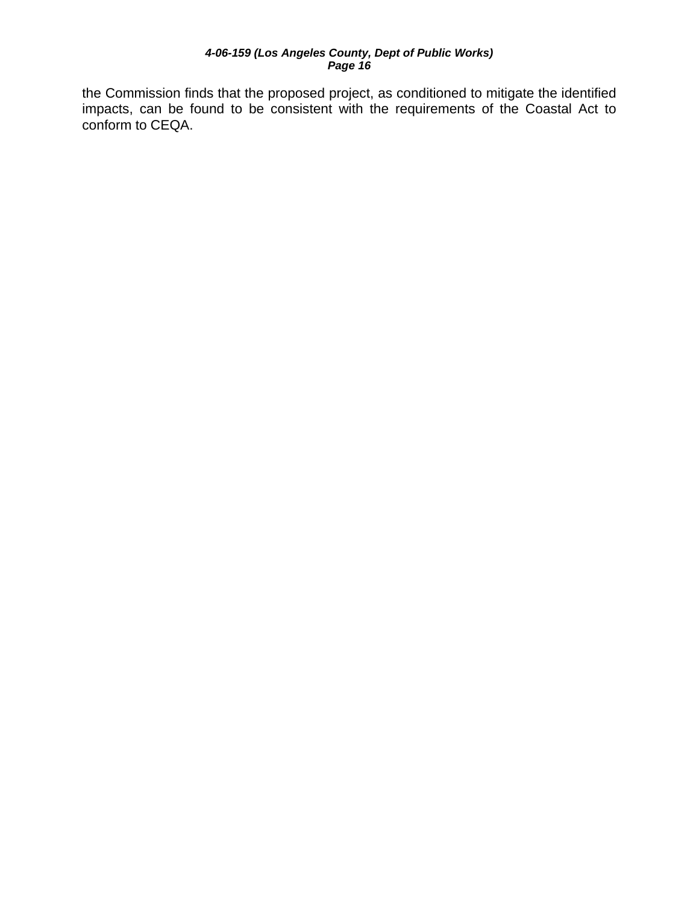the Commission finds that the proposed project, as conditioned to mitigate the identified impacts, can be found to be consistent with the requirements of the Coastal Act to conform to CEQA.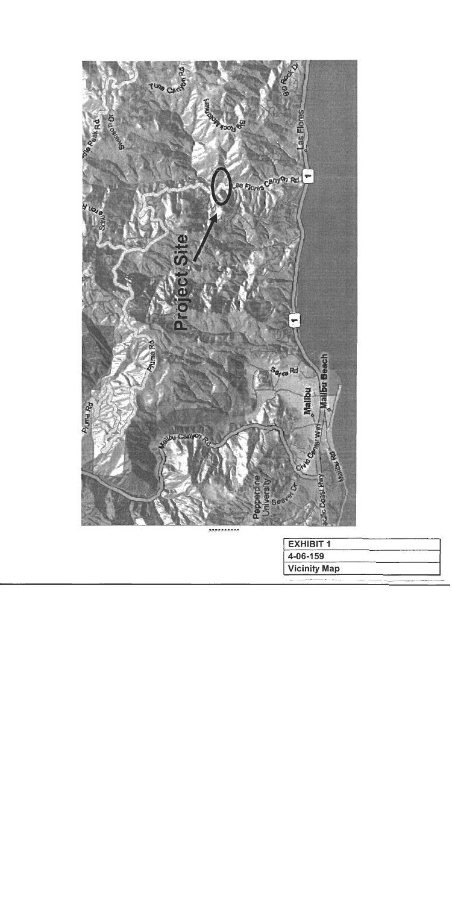

ppppppppp

| <b>EXHIBIT 1</b>    |  |
|---------------------|--|
| 4-06-159            |  |
| <b>Vicinity Map</b> |  |
|                     |  |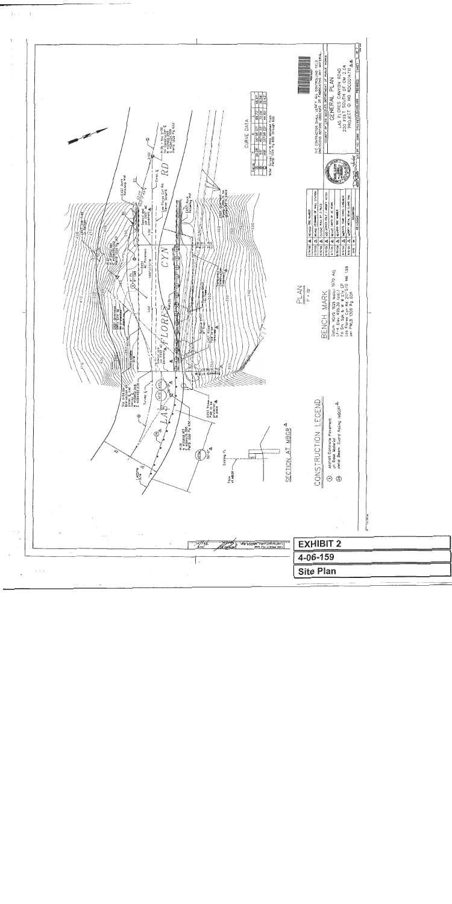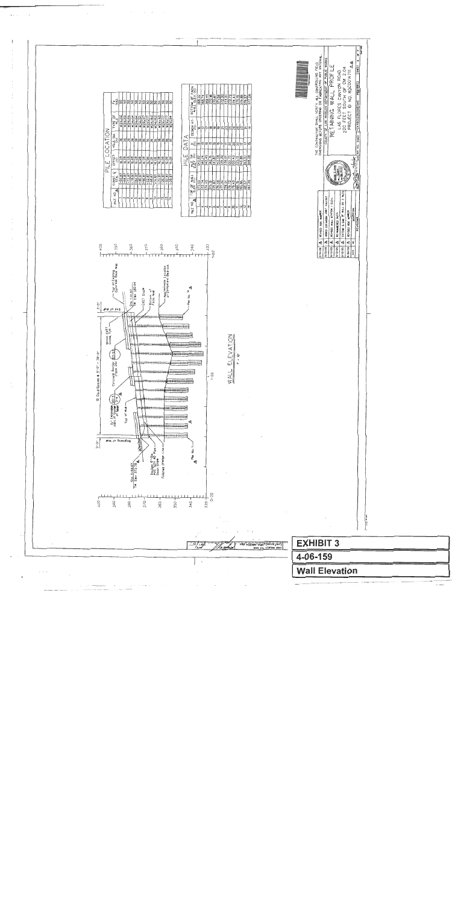